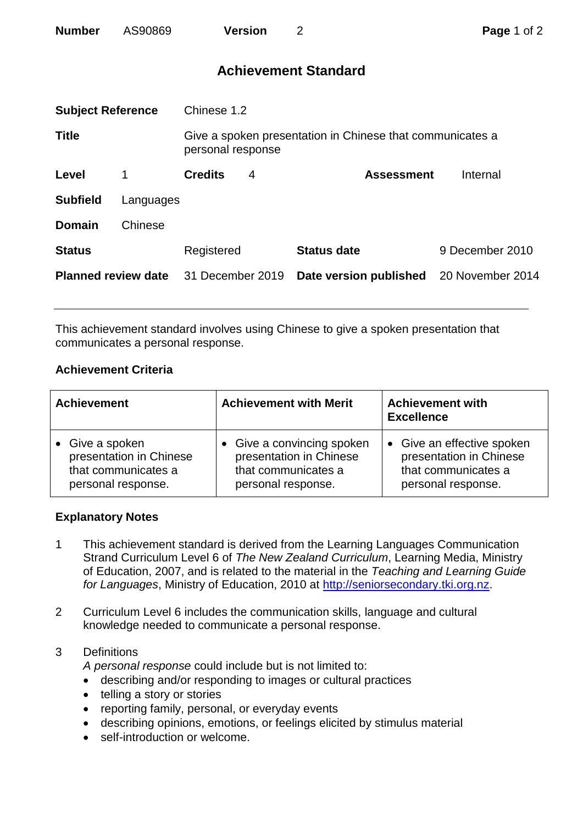| <b>Number</b> | AS90869 | <b>Version</b> |  |
|---------------|---------|----------------|--|
|---------------|---------|----------------|--|

# **Achievement Standard**

| <b>Subject Reference</b>   |           | Chinese 1.2       |   |                                                           |                  |  |
|----------------------------|-----------|-------------------|---|-----------------------------------------------------------|------------------|--|
| <b>Title</b>               |           | personal response |   | Give a spoken presentation in Chinese that communicates a |                  |  |
| Level                      | 1         | <b>Credits</b>    | 4 | <b>Assessment</b>                                         | Internal         |  |
| <b>Subfield</b>            | Languages |                   |   |                                                           |                  |  |
| <b>Domain</b>              | Chinese   |                   |   |                                                           |                  |  |
| <b>Status</b>              |           | Registered        |   | <b>Status date</b>                                        | 9 December 2010  |  |
| <b>Planned review date</b> |           | 31 December 2019  |   | Date version published                                    | 20 November 2014 |  |
|                            |           |                   |   |                                                           |                  |  |

This achievement standard involves using Chinese to give a spoken presentation that communicates a personal response.

## **Achievement Criteria**

| <b>Achievement</b>                                                                      | <b>Achievement with Merit</b>                                                                      | <b>Achievement with</b><br><b>Excellence</b>                                                                  |  |
|-----------------------------------------------------------------------------------------|----------------------------------------------------------------------------------------------------|---------------------------------------------------------------------------------------------------------------|--|
| • Give a spoken<br>presentation in Chinese<br>that communicates a<br>personal response. | • Give a convincing spoken<br>presentation in Chinese<br>that communicates a<br>personal response. | Give an effective spoken<br>$\bullet$<br>presentation in Chinese<br>that communicates a<br>personal response. |  |

## **Explanatory Notes**

- 1 This achievement standard is derived from the Learning Languages Communication Strand Curriculum Level 6 of *The New Zealand Curriculum*, Learning Media, Ministry of Education, 2007, and is related to the material in the *Teaching and Learning Guide for Languages*, Ministry of Education, 2010 at [http://seniorsecondary.tki.org.nz.](http://seniorsecondary.tki.org.nz/)
- 2 Curriculum Level 6 includes the communication skills, language and cultural knowledge needed to communicate a personal response.
- 3 Definitions

*A personal response* could include but is not limited to:

- describing and/or responding to images or cultural practices
- telling a story or stories
- reporting family, personal, or everyday events
- describing opinions, emotions, or feelings elicited by stimulus material
- self-introduction or welcome.